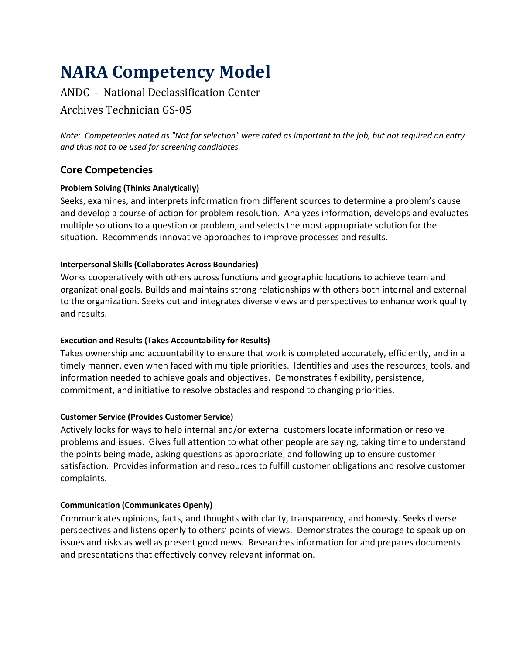# **NARA Competency Model**

# ANDC - National Declassification Center

# Archives Technician GS-05

*Note: Competencies noted as "Not for selection" were rated as important to the job, but not required on entry and thus not to be used for screening candidates.*

# **Core Competencies**

# **Problem Solving (Thinks Analytically)**

Seeks, examines, and interprets information from different sources to determine a problem's cause and develop a course of action for problem resolution. Analyzes information, develops and evaluates multiple solutions to a question or problem, and selects the most appropriate solution for the situation. Recommends innovative approaches to improve processes and results.

# **Interpersonal Skills (Collaborates Across Boundaries)**

Works cooperatively with others across functions and geographic locations to achieve team and organizational goals. Builds and maintains strong relationships with others both internal and external to the organization. Seeks out and integrates diverse views and perspectives to enhance work quality and results.

# **Execution and Results (Takes Accountability for Results)**

Takes ownership and accountability to ensure that work is completed accurately, efficiently, and in a timely manner, even when faced with multiple priorities. Identifies and uses the resources, tools, and information needed to achieve goals and objectives. Demonstrates flexibility, persistence, commitment, and initiative to resolve obstacles and respond to changing priorities.

# **Customer Service (Provides Customer Service)**

Actively looks for ways to help internal and/or external customers locate information or resolve problems and issues. Gives full attention to what other people are saying, taking time to understand the points being made, asking questions as appropriate, and following up to ensure customer satisfaction. Provides information and resources to fulfill customer obligations and resolve customer complaints.

# **Communication (Communicates Openly)**

Communicates opinions, facts, and thoughts with clarity, transparency, and honesty. Seeks diverse perspectives and listens openly to others' points of views. Demonstrates the courage to speak up on issues and risks as well as present good news. Researches information for and prepares documents and presentations that effectively convey relevant information.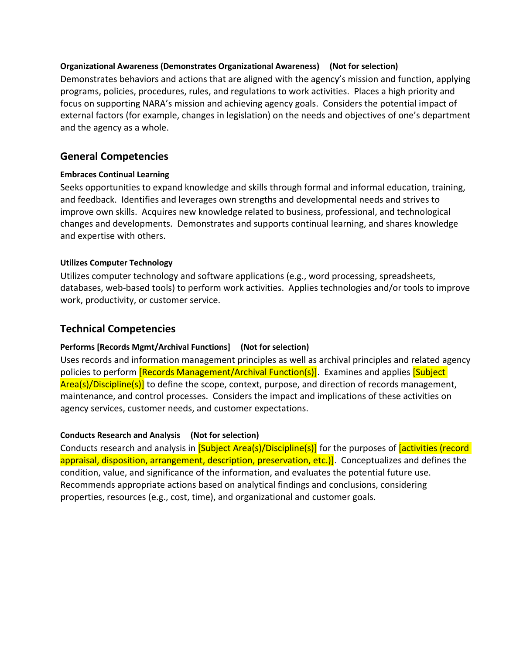#### **Organizational Awareness (Demonstrates Organizational Awareness) (Not for selection)**

Demonstrates behaviors and actions that are aligned with the agency's mission and function, applying programs, policies, procedures, rules, and regulations to work activities. Places a high priority and focus on supporting NARA's mission and achieving agency goals. Considers the potential impact of external factors (for example, changes in legislation) on the needs and objectives of one's department and the agency as a whole.

# **General Competencies**

#### **Embraces Continual Learning**

Seeks opportunities to expand knowledge and skills through formal and informal education, training, and feedback. Identifies and leverages own strengths and developmental needs and strives to improve own skills. Acquires new knowledge related to business, professional, and technological changes and developments. Demonstrates and supports continual learning, and shares knowledge and expertise with others.

#### **Utilizes Computer Technology**

Utilizes computer technology and software applications (e.g., word processing, spreadsheets, databases, web-based tools) to perform work activities. Applies technologies and/or tools to improve work, productivity, or customer service.

### **Technical Competencies**

#### **Performs [Records Mgmt/Archival Functions] (Not for selection)**

Uses records and information management principles as well as archival principles and related agency policies to perform **[Records Management/Archival Function(s)]**. Examines and applies **[Subject**] Area(s)/Discipline(s)] to define the scope, context, purpose, and direction of records management, maintenance, and control processes.Considers the impact and implications of these activities on agency services, customer needs, and customer expectations.

#### **Conducts Research and Analysis (Not for selection)**

Conducts research and analysis in [Subject Area(s)/Discipline(s)] for the purposes of *activities (record* appraisal, disposition, arrangement, description, preservation, etc.)]. Conceptualizes and defines the condition, value, and significance of the information, and evaluates the potential future use. Recommends appropriate actions based on analytical findings and conclusions, considering properties, resources (e.g., cost, time), and organizational and customer goals.